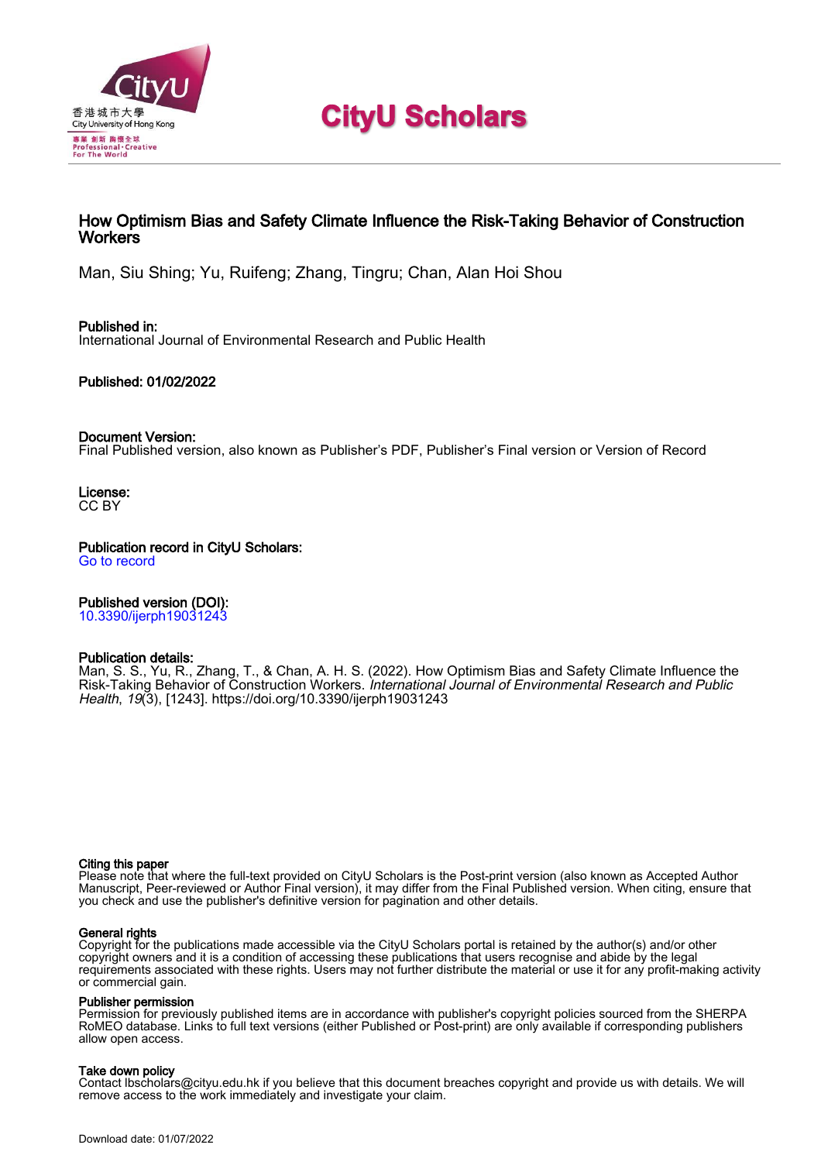

# **CityU Scholars**

### How Optimism Bias and Safety Climate Influence the Risk-Taking Behavior of Construction **Workers**

Man, Siu Shing; Yu, Ruifeng; Zhang, Tingru; Chan, Alan Hoi Shou

Published in: International Journal of Environmental Research and Public Health

Published: 01/02/2022

### Document Version:

Final Published version, also known as Publisher's PDF, Publisher's Final version or Version of Record

License: CC BY

Publication record in CityU Scholars: [Go to record](https://scholars.cityu.edu.hk/en/publications/how-optimism-bias-and-safety-climate-influence-the-risktaking-behavior-of-construction-workers(70e8381a-0306-428f-b484-9212a2e1d669).html)

Published version (DOI):

[10.3390/ijerph19031243](https://doi.org/10.3390/ijerph19031243)

### Publication details:

[Man, S. S.,](https://scholars.cityu.edu.hk/en/persons/siu-shing-man(4c794a68-d40f-49fa-9505-c6e0c695428a).html) Yu, R., Zhang, T[., & Chan, A. H. S.](https://scholars.cityu.edu.hk/en/persons/hoi-shou-alan-chan(075f33d9-9743-41d8-a0f3-245faf090db9).html) (2022). [How Optimism Bias and Safety Climate Influence the](https://scholars.cityu.edu.hk/en/publications/how-optimism-bias-and-safety-climate-influence-the-risktaking-behavior-of-construction-workers(70e8381a-0306-428f-b484-9212a2e1d669).html) [Risk-Taking Behavior of Construction Workers.](https://scholars.cityu.edu.hk/en/publications/how-optimism-bias-and-safety-climate-influence-the-risktaking-behavior-of-construction-workers(70e8381a-0306-428f-b484-9212a2e1d669).html) [International Journal of Environmental Research and Public](https://scholars.cityu.edu.hk/en/journals/international-journal-of-environmental-research-and-public-health(b9e88005-aa26-4ad7-9a6f-497aead9305f)/publications.html) [Health](https://scholars.cityu.edu.hk/en/journals/international-journal-of-environmental-research-and-public-health(b9e88005-aa26-4ad7-9a6f-497aead9305f)/publications.html), 19(3), [1243]. <https://doi.org/10.3390/ijerph19031243>

### Citing this paper

Please note that where the full-text provided on CityU Scholars is the Post-print version (also known as Accepted Author Manuscript, Peer-reviewed or Author Final version), it may differ from the Final Published version. When citing, ensure that you check and use the publisher's definitive version for pagination and other details.

### General rights

Copyright for the publications made accessible via the CityU Scholars portal is retained by the author(s) and/or other copyright owners and it is a condition of accessing these publications that users recognise and abide by the legal requirements associated with these rights. Users may not further distribute the material or use it for any profit-making activity or commercial gain.

### Publisher permission

Permission for previously published items are in accordance with publisher's copyright policies sourced from the SHERPA RoMEO database. Links to full text versions (either Published or Post-print) are only available if corresponding publishers allow open access.

### Take down policy

Contact lbscholars@cityu.edu.hk if you believe that this document breaches copyright and provide us with details. We will remove access to the work immediately and investigate your claim.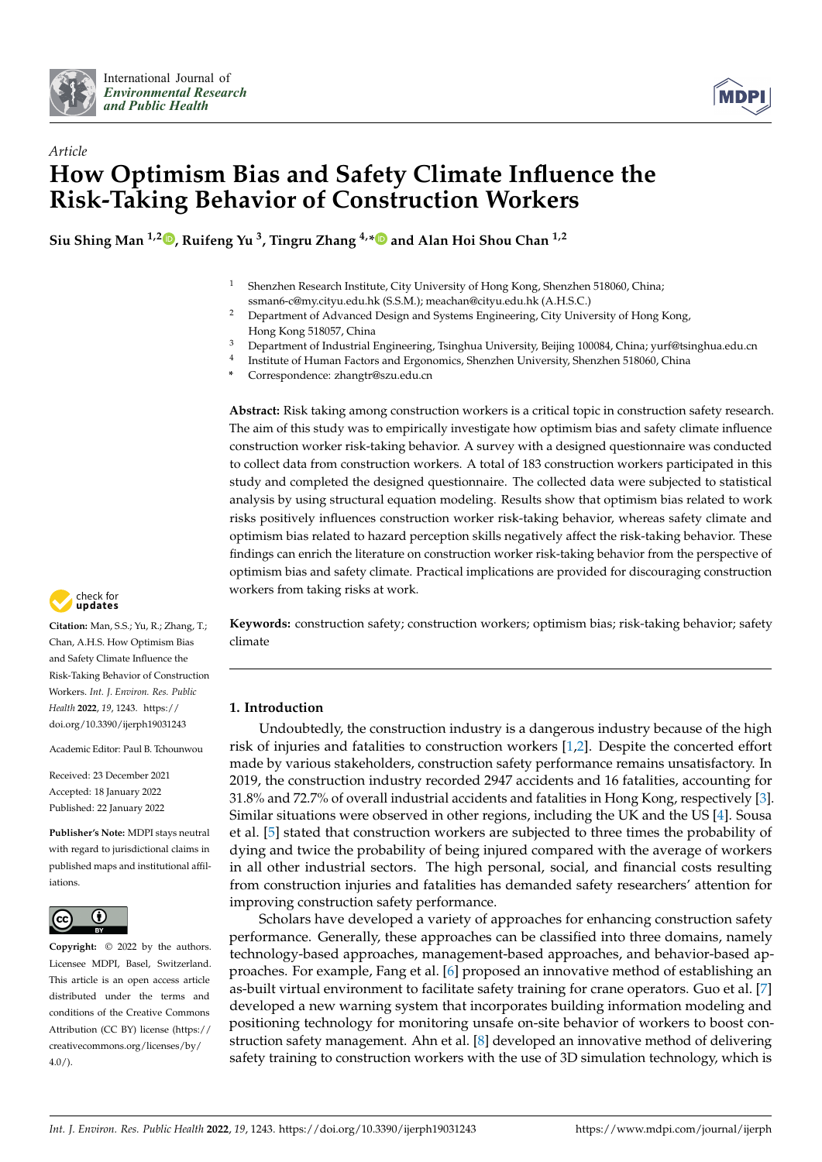



# *Article* **How Optimism Bias and Safety Climate Influence the Risk-Taking Behavior of Construction Workers**

**Siu Shing Man 1,2 [,](https://orcid.org/0000-0001-5321-3411) Ruifeng Yu <sup>3</sup> , Tingru Zhang 4,[\\*](https://orcid.org/0000-0003-2395-1864) and Alan Hoi Shou Chan 1,2**

- <sup>1</sup> Shenzhen Research Institute, City University of Hong Kong, Shenzhen 518060, China; ssman6-c@my.cityu.edu.hk (S.S.M.); meachan@cityu.edu.hk (A.H.S.C.)
- <sup>2</sup> Department of Advanced Design and Systems Engineering, City University of Hong Kong, Hong Kong 518057, China
- <sup>3</sup> Department of Industrial Engineering, Tsinghua University, Beijing 100084, China; yurf@tsinghua.edu.cn
- 4 Institute of Human Factors and Ergonomics, Shenzhen University, Shenzhen 518060, China
- **\*** Correspondence: zhangtr@szu.edu.cn

**Abstract:** Risk taking among construction workers is a critical topic in construction safety research. The aim of this study was to empirically investigate how optimism bias and safety climate influence construction worker risk-taking behavior. A survey with a designed questionnaire was conducted to collect data from construction workers. A total of 183 construction workers participated in this study and completed the designed questionnaire. The collected data were subjected to statistical analysis by using structural equation modeling. Results show that optimism bias related to work risks positively influences construction worker risk-taking behavior, whereas safety climate and optimism bias related to hazard perception skills negatively affect the risk-taking behavior. These findings can enrich the literature on construction worker risk-taking behavior from the perspective of optimism bias and safety climate. Practical implications are provided for discouraging construction workers from taking risks at work.

**Keywords:** construction safety; construction workers; optimism bias; risk-taking behavior; safety climate

### **1. Introduction**

Undoubtedly, the construction industry is a dangerous industry because of the high risk of injuries and fatalities to construction workers [\[1,](#page-12-0)[2\]](#page-12-1). Despite the concerted effort made by various stakeholders, construction safety performance remains unsatisfactory. In 2019, the construction industry recorded 2947 accidents and 16 fatalities, accounting for 31.8% and 72.7% of overall industrial accidents and fatalities in Hong Kong, respectively [\[3\]](#page-12-2). Similar situations were observed in other regions, including the UK and the US [\[4\]](#page-12-3). Sousa et al. [\[5\]](#page-12-4) stated that construction workers are subjected to three times the probability of dying and twice the probability of being injured compared with the average of workers in all other industrial sectors. The high personal, social, and financial costs resulting from construction injuries and fatalities has demanded safety researchers' attention for improving construction safety performance.

Scholars have developed a variety of approaches for enhancing construction safety performance. Generally, these approaches can be classified into three domains, namely technology-based approaches, management-based approaches, and behavior-based approaches. For example, Fang et al. [\[6\]](#page-12-5) proposed an innovative method of establishing an as-built virtual environment to facilitate safety training for crane operators. Guo et al. [\[7\]](#page-12-6) developed a new warning system that incorporates building information modeling and positioning technology for monitoring unsafe on-site behavior of workers to boost construction safety management. Ahn et al. [\[8\]](#page-12-7) developed an innovative method of delivering safety training to construction workers with the use of 3D simulation technology, which is



**Citation:** Man, S.S.; Yu, R.; Zhang, T.; Chan, A.H.S. How Optimism Bias and Safety Climate Influence the Risk-Taking Behavior of Construction Workers. *Int. J. Environ. Res. Public Health* **2022**, *19*, 1243. [https://](https://doi.org/10.3390/ijerph19031243) [doi.org/10.3390/ijerph19031243](https://doi.org/10.3390/ijerph19031243)

Academic Editor: Paul B. Tchounwou

Received: 23 December 2021 Accepted: 18 January 2022 Published: 22 January 2022

**Publisher's Note:** MDPI stays neutral with regard to jurisdictional claims in published maps and institutional affiliations.



**Copyright:** © 2022 by the authors. Licensee MDPI, Basel, Switzerland. This article is an open access article distributed under the terms and conditions of the Creative Commons Attribution (CC BY) license [\(https://](https://creativecommons.org/licenses/by/4.0/) [creativecommons.org/licenses/by/](https://creativecommons.org/licenses/by/4.0/)  $4.0/$ ).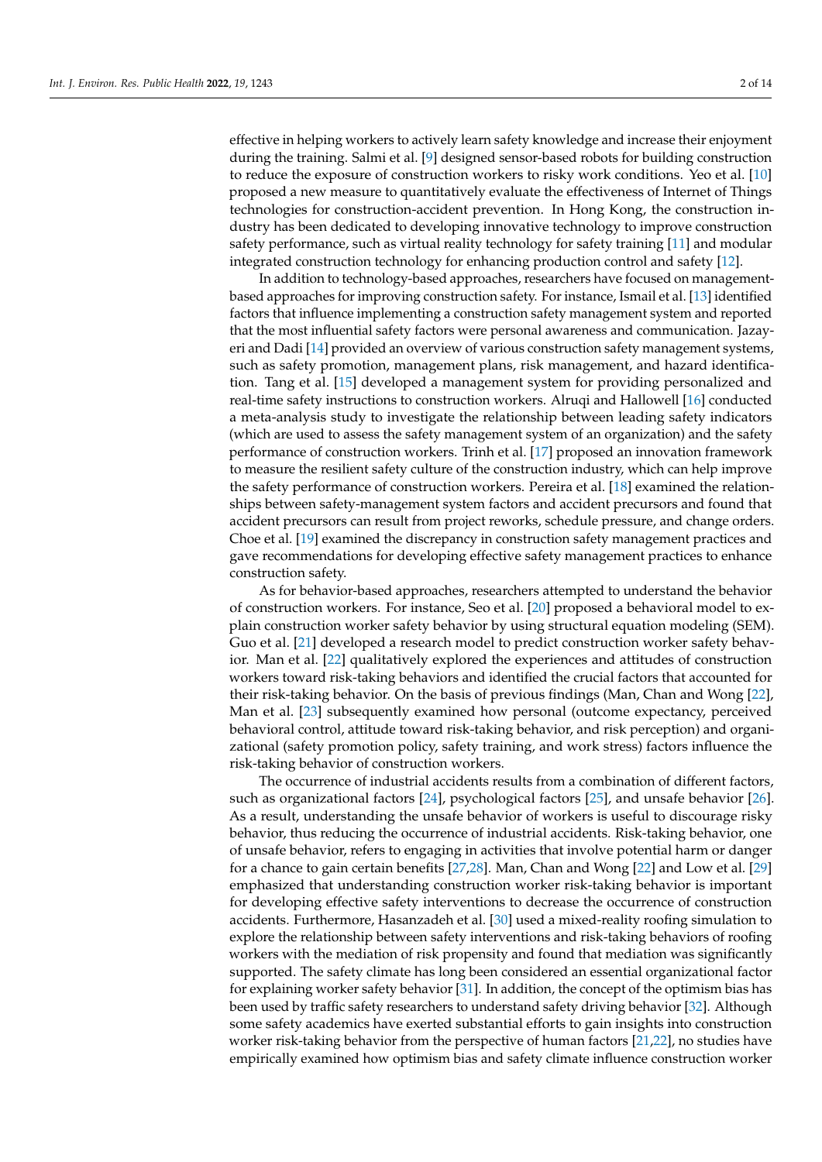effective in helping workers to actively learn safety knowledge and increase their enjoyment during the training. Salmi et al. [\[9\]](#page-12-8) designed sensor-based robots for building construction to reduce the exposure of construction workers to risky work conditions. Yeo et al. [\[10\]](#page-12-9) proposed a new measure to quantitatively evaluate the effectiveness of Internet of Things technologies for construction-accident prevention. In Hong Kong, the construction industry has been dedicated to developing innovative technology to improve construction safety performance, such as virtual reality technology for safety training [\[11\]](#page-12-10) and modular integrated construction technology for enhancing production control and safety [\[12\]](#page-12-11).

In addition to technology-based approaches, researchers have focused on managementbased approaches for improving construction safety. For instance, Ismail et al. [\[13\]](#page-12-12) identified factors that influence implementing a construction safety management system and reported that the most influential safety factors were personal awareness and communication. Jazayeri and Dadi [\[14\]](#page-12-13) provided an overview of various construction safety management systems, such as safety promotion, management plans, risk management, and hazard identification. Tang et al. [\[15\]](#page-12-14) developed a management system for providing personalized and real-time safety instructions to construction workers. Alruqi and Hallowell [\[16\]](#page-13-0) conducted a meta-analysis study to investigate the relationship between leading safety indicators (which are used to assess the safety management system of an organization) and the safety performance of construction workers. Trinh et al. [\[17\]](#page-13-1) proposed an innovation framework to measure the resilient safety culture of the construction industry, which can help improve the safety performance of construction workers. Pereira et al. [\[18\]](#page-13-2) examined the relationships between safety-management system factors and accident precursors and found that accident precursors can result from project reworks, schedule pressure, and change orders. Choe et al. [\[19\]](#page-13-3) examined the discrepancy in construction safety management practices and gave recommendations for developing effective safety management practices to enhance construction safety.

As for behavior-based approaches, researchers attempted to understand the behavior of construction workers. For instance, Seo et al. [\[20\]](#page-13-4) proposed a behavioral model to explain construction worker safety behavior by using structural equation modeling (SEM). Guo et al. [\[21\]](#page-13-5) developed a research model to predict construction worker safety behavior. Man et al. [\[22\]](#page-13-6) qualitatively explored the experiences and attitudes of construction workers toward risk-taking behaviors and identified the crucial factors that accounted for their risk-taking behavior. On the basis of previous findings (Man, Chan and Wong [\[22\]](#page-13-6), Man et al. [\[23\]](#page-13-7) subsequently examined how personal (outcome expectancy, perceived behavioral control, attitude toward risk-taking behavior, and risk perception) and organizational (safety promotion policy, safety training, and work stress) factors influence the risk-taking behavior of construction workers.

The occurrence of industrial accidents results from a combination of different factors, such as organizational factors [\[24\]](#page-13-8), psychological factors [\[25\]](#page-13-9), and unsafe behavior [\[26\]](#page-13-10). As a result, understanding the unsafe behavior of workers is useful to discourage risky behavior, thus reducing the occurrence of industrial accidents. Risk-taking behavior, one of unsafe behavior, refers to engaging in activities that involve potential harm or danger for a chance to gain certain benefits [\[27,](#page-13-11)[28\]](#page-13-12). Man, Chan and Wong [\[22\]](#page-13-6) and Low et al. [\[29\]](#page-13-13) emphasized that understanding construction worker risk-taking behavior is important for developing effective safety interventions to decrease the occurrence of construction accidents. Furthermore, Hasanzadeh et al. [\[30\]](#page-13-14) used a mixed-reality roofing simulation to explore the relationship between safety interventions and risk-taking behaviors of roofing workers with the mediation of risk propensity and found that mediation was significantly supported. The safety climate has long been considered an essential organizational factor for explaining worker safety behavior [\[31\]](#page-13-15). In addition, the concept of the optimism bias has been used by traffic safety researchers to understand safety driving behavior [\[32\]](#page-13-16). Although some safety academics have exerted substantial efforts to gain insights into construction worker risk-taking behavior from the perspective of human factors [\[21](#page-13-5)[,22\]](#page-13-6), no studies have empirically examined how optimism bias and safety climate influence construction worker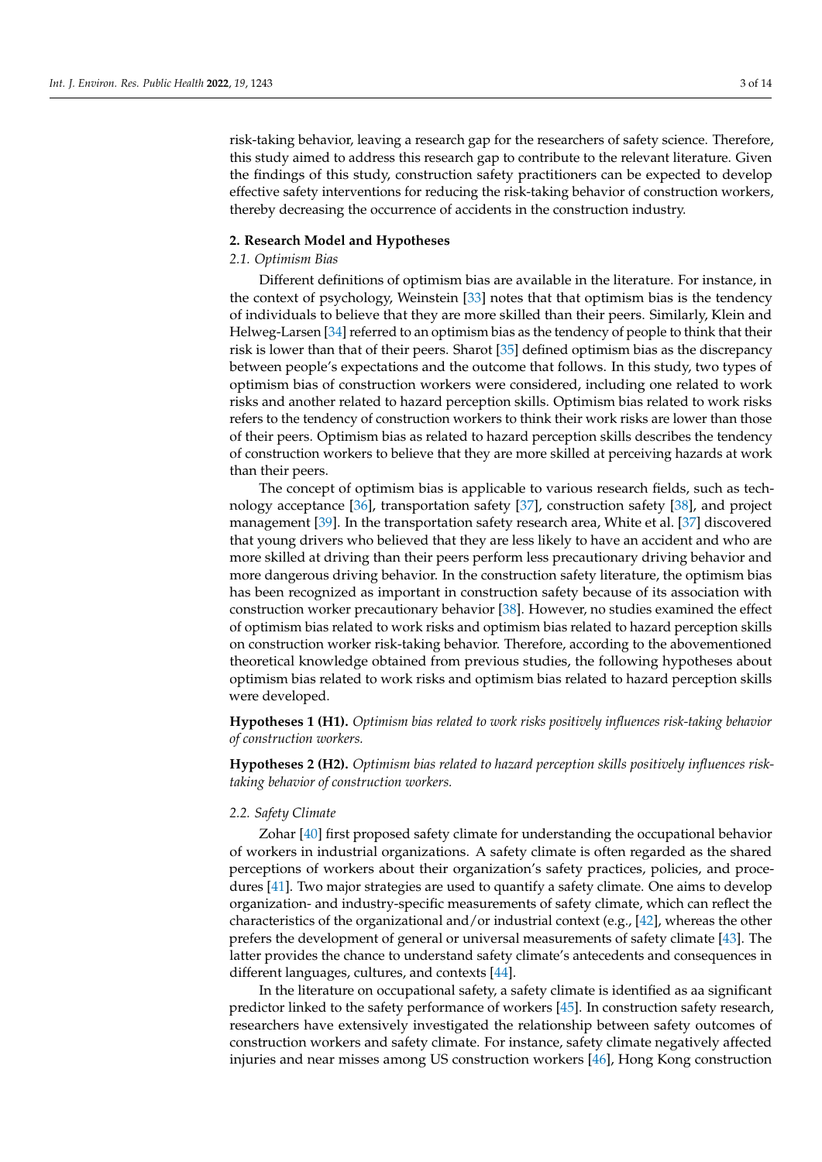risk-taking behavior, leaving a research gap for the researchers of safety science. Therefore, this study aimed to address this research gap to contribute to the relevant literature. Given the findings of this study, construction safety practitioners can be expected to develop effective safety interventions for reducing the risk-taking behavior of construction workers, thereby decreasing the occurrence of accidents in the construction industry.

### <span id="page-3-0"></span>**2. Research Model and Hypotheses**

#### *2.1. Optimism Bias*

Different definitions of optimism bias are available in the literature. For instance, in the context of psychology, Weinstein [\[33\]](#page-13-17) notes that that optimism bias is the tendency of individuals to believe that they are more skilled than their peers. Similarly, Klein and Helweg-Larsen [\[34\]](#page-13-18) referred to an optimism bias as the tendency of people to think that their risk is lower than that of their peers. Sharot [\[35\]](#page-13-19) defined optimism bias as the discrepancy between people's expectations and the outcome that follows. In this study, two types of optimism bias of construction workers were considered, including one related to work risks and another related to hazard perception skills. Optimism bias related to work risks refers to the tendency of construction workers to think their work risks are lower than those of their peers. Optimism bias as related to hazard perception skills describes the tendency of construction workers to believe that they are more skilled at perceiving hazards at work than their peers.

The concept of optimism bias is applicable to various research fields, such as technology acceptance [\[36\]](#page-13-20), transportation safety [\[37\]](#page-13-21), construction safety [\[38\]](#page-13-22), and project management [\[39\]](#page-13-23). In the transportation safety research area, White et al. [\[37\]](#page-13-21) discovered that young drivers who believed that they are less likely to have an accident and who are more skilled at driving than their peers perform less precautionary driving behavior and more dangerous driving behavior. In the construction safety literature, the optimism bias has been recognized as important in construction safety because of its association with construction worker precautionary behavior [\[38\]](#page-13-22). However, no studies examined the effect of optimism bias related to work risks and optimism bias related to hazard perception skills on construction worker risk-taking behavior. Therefore, according to the abovementioned theoretical knowledge obtained from previous studies, the following hypotheses about optimism bias related to work risks and optimism bias related to hazard perception skills were developed.

**Hypotheses 1 (H1).** *Optimism bias related to work risks positively influences risk-taking behavior of construction workers.*

**Hypotheses 2 (H2).** *Optimism bias related to hazard perception skills positively influences risktaking behavior of construction workers.*

### *2.2. Safety Climate*

Zohar [\[40\]](#page-13-24) first proposed safety climate for understanding the occupational behavior of workers in industrial organizations. A safety climate is often regarded as the shared perceptions of workers about their organization's safety practices, policies, and procedures [\[41\]](#page-13-25). Two major strategies are used to quantify a safety climate. One aims to develop organization- and industry-specific measurements of safety climate, which can reflect the characteristics of the organizational and/or industrial context (e.g., [\[42\]](#page-13-26), whereas the other prefers the development of general or universal measurements of safety climate [\[43\]](#page-13-27). The latter provides the chance to understand safety climate's antecedents and consequences in different languages, cultures, and contexts [\[44\]](#page-13-28).

In the literature on occupational safety, a safety climate is identified as aa significant predictor linked to the safety performance of workers [\[45\]](#page-13-29). In construction safety research, researchers have extensively investigated the relationship between safety outcomes of construction workers and safety climate. For instance, safety climate negatively affected injuries and near misses among US construction workers [\[46\]](#page-13-30), Hong Kong construction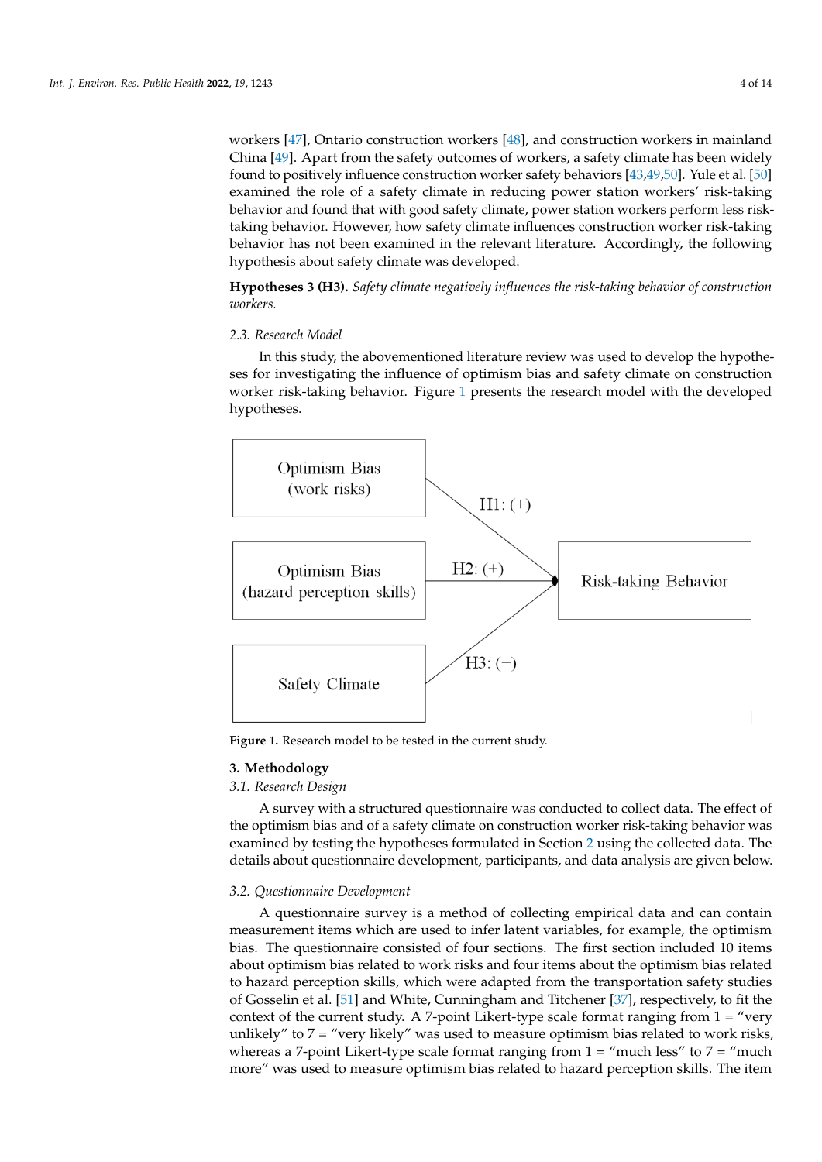workers  $[47]$ , Ontario construction workers  $[48]$ , and construction workers in mainland China [\[49\]](#page-14-2). Apart from the safety outcomes of workers, a safety climate has been widely found to positively influence construction worker safety behaviors [\[43,](#page-13-27)[49](#page-14-2)[,50\]](#page-14-3). Yule et al. [\[50\]](#page-14-3) examined the role of a safety climate in reducing power station workers' risk-taking behavior and found that with good safety climate, power station workers perform less risktaking behavior. However, how safety climate influences construction worker risk-taking behavior has not been examined in the relevant literature. Accordingly, the following hypothesis about safety climate was developed.

**Hypotheses 3 (H3).** Safety climate negatively influences the risk-taking behavior of construction *workers. tion workers.*  **UTHESES 5 (H3).** *Safety climate negatively influences the risk-taking behavior of constru* 

## *2.3. Research Model 2.3. Research Model*

In this study, the abovementioned literature review was used to develop the hypotheses for investigating the influence of optimism bias and safety climate on construction eses for investigating the influence of optimism bias and safety climate on construction worker risk-taking behavior. Figure 1 [pr](#page-4-0)esents the research model with the developed hypotheses. hypotheses.

<span id="page-4-0"></span>

**Figure 1.** Research model to be tested in the current study. **Figure 1.** Research model to be tested in the current study.

### **3. Methodology 3. Methodology**

### *3.1. Research Design 3.1. Research Design*

A survey with a structured questionnaire was conducted to collect data. The effect of A survey with a structured questionnaire was conducted to collect data. The effect of the optimism bias and of a safety climate on construction worker risk-taking behavior was the optimism bias and of a safety climate on construction worker risk-taking behavior was examined by testing the hypotheses formulated in Section 2 [usi](#page-3-0)ng the collected data. The examined by testing the hypotheses formulated in Section 2 using the collected data. The details about questionnaire development, participants, and data analysis are given below. details about questionnaire development, participants, and data analysis are given below.

### *3.2. Questionnaire Development 3.2. Questionnaire Development*

A questionnaire survey is a method of collecting empirical data and can contain A questionnaire survey is a method of collecting empirical data and can contain measurement items which are used to infer latent variables, for example, the optimism measurement items which are used to infer latent variables, for example, the optimism bias. The questionnaire consisted of four sections. The first section included 10 items about optimism bias related to work risks and four items about the optimism bias related to hazard perception skills, which were adapted from the transportation safety studies of Gosselin et al. [\[51\]](#page-14-4) and White, Cunningham and Titchener [\[37\]](#page-13-21), respectively, to fit the context of the current study. A 7-point Likert-type scale format ranging from  $1 =$  "very unlikely" to  $7 =$  "very likely" was used to measure optimism bias related to work risks, whereas a 7-point Likert-type scale format ranging from  $1 =$  "much less" to  $7 =$  "much" more" was used to measure optimism bias related to hazard perception skills. The item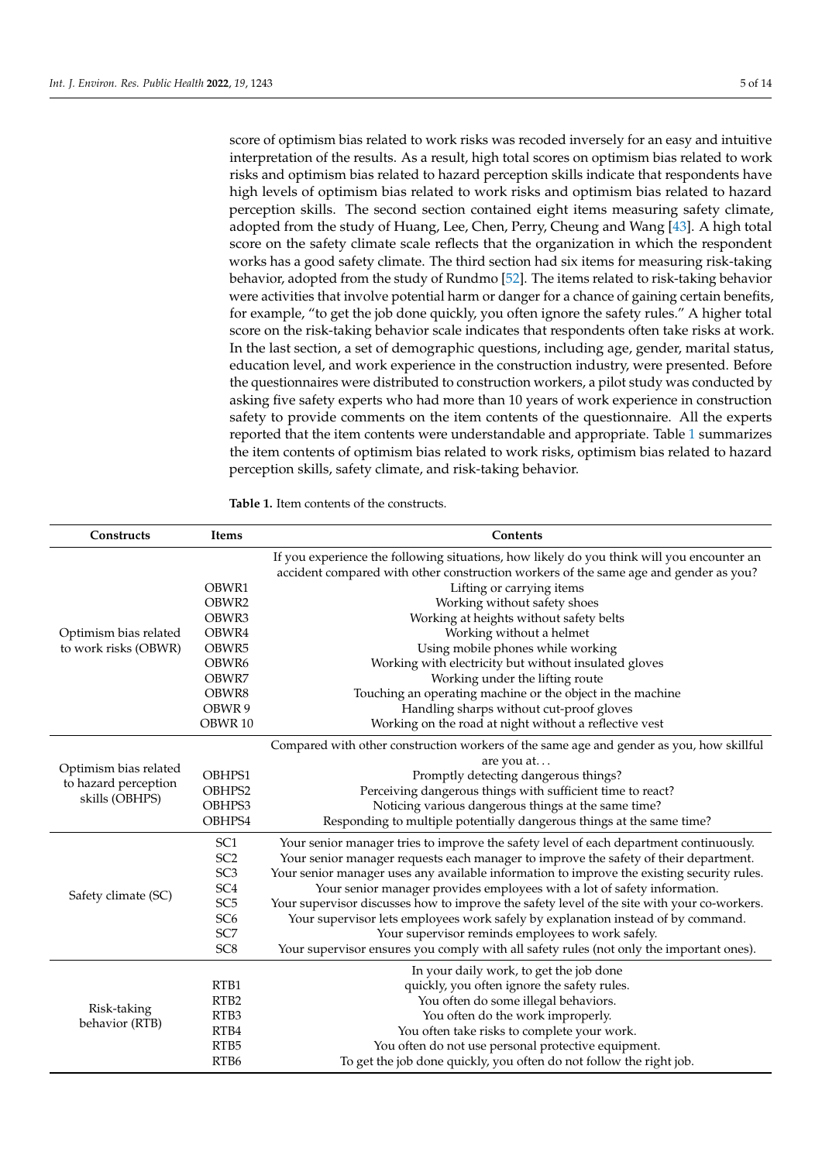score of optimism bias related to work risks was recoded inversely for an easy and intuitive interpretation of the results. As a result, high total scores on optimism bias related to work risks and optimism bias related to hazard perception skills indicate that respondents have high levels of optimism bias related to work risks and optimism bias related to hazard perception skills. The second section contained eight items measuring safety climate, adopted from the study of Huang, Lee, Chen, Perry, Cheung and Wang [\[43\]](#page-13-27). A high total score on the safety climate scale reflects that the organization in which the respondent works has a good safety climate. The third section had six items for measuring risk-taking behavior, adopted from the study of Rundmo [\[52\]](#page-14-5). The items related to risk-taking behavior were activities that involve potential harm or danger for a chance of gaining certain benefits, for example, "to get the job done quickly, you often ignore the safety rules." A higher total score on the risk-taking behavior scale indicates that respondents often take risks at work. In the last section, a set of demographic questions, including age, gender, marital status, education level, and work experience in the construction industry, were presented. Before the questionnaires were distributed to construction workers, a pilot study was conducted by asking five safety experts who had more than 10 years of work experience in construction safety to provide comments on the item contents of the questionnaire. All the experts reported that the item contents were understandable and appropriate. Table [1](#page-5-0) summarizes the item contents of optimism bias related to work risks, optimism bias related to hazard perception skills, safety climate, and risk-taking behavior.

<span id="page-5-0"></span>**Table 1.** Item contents of the constructs.

| Constructs            | Items              | Contents                                                                                                                                                                          |  |  |  |  |
|-----------------------|--------------------|-----------------------------------------------------------------------------------------------------------------------------------------------------------------------------------|--|--|--|--|
|                       |                    | If you experience the following situations, how likely do you think will you encounter an<br>accident compared with other construction workers of the same age and gender as you? |  |  |  |  |
|                       | OBWR1              | Lifting or carrying items                                                                                                                                                         |  |  |  |  |
|                       | OBWR2              | Working without safety shoes                                                                                                                                                      |  |  |  |  |
|                       | OBWR3              | Working at heights without safety belts                                                                                                                                           |  |  |  |  |
| Optimism bias related | OBWR4              | Working without a helmet                                                                                                                                                          |  |  |  |  |
| to work risks (OBWR)  | OBWR5              | Using mobile phones while working                                                                                                                                                 |  |  |  |  |
|                       | OBWR6              | Working with electricity but without insulated gloves                                                                                                                             |  |  |  |  |
|                       | OBWR7              | Working under the lifting route                                                                                                                                                   |  |  |  |  |
|                       | OBWR8              | Touching an operating machine or the object in the machine                                                                                                                        |  |  |  |  |
|                       | OBWR 9             | Handling sharps without cut-proof gloves                                                                                                                                          |  |  |  |  |
|                       | OBWR <sub>10</sub> | Working on the road at night without a reflective vest                                                                                                                            |  |  |  |  |
|                       |                    | Compared with other construction workers of the same age and gender as you, how skillful<br>are you at                                                                            |  |  |  |  |
| Optimism bias related | OBHPS1             | Promptly detecting dangerous things?                                                                                                                                              |  |  |  |  |
| to hazard perception  | OBHPS2             | Perceiving dangerous things with sufficient time to react?                                                                                                                        |  |  |  |  |
| skills (OBHPS)        | OBHPS3             | Noticing various dangerous things at the same time?                                                                                                                               |  |  |  |  |
|                       | OBHPS4             | Responding to multiple potentially dangerous things at the same time?                                                                                                             |  |  |  |  |
|                       | SC <sub>1</sub>    | Your senior manager tries to improve the safety level of each department continuously.                                                                                            |  |  |  |  |
|                       | SC <sub>2</sub>    | Your senior manager requests each manager to improve the safety of their department.                                                                                              |  |  |  |  |
|                       | SC <sub>3</sub>    | Your senior manager uses any available information to improve the existing security rules.                                                                                        |  |  |  |  |
|                       | SC <sub>4</sub>    | Your senior manager provides employees with a lot of safety information.                                                                                                          |  |  |  |  |
| Safety climate (SC)   | SC <sub>5</sub>    | Your supervisor discusses how to improve the safety level of the site with your co-workers.                                                                                       |  |  |  |  |
|                       | SC <sub>6</sub>    | Your supervisor lets employees work safely by explanation instead of by command.                                                                                                  |  |  |  |  |
|                       | SC7                | Your supervisor reminds employees to work safely.                                                                                                                                 |  |  |  |  |
|                       | SC <sub>8</sub>    | Your supervisor ensures you comply with all safety rules (not only the important ones).                                                                                           |  |  |  |  |
|                       |                    | In your daily work, to get the job done                                                                                                                                           |  |  |  |  |
| Risk-taking           | RTB1               | quickly, you often ignore the safety rules.                                                                                                                                       |  |  |  |  |
|                       | RTB <sub>2</sub>   | You often do some illegal behaviors.                                                                                                                                              |  |  |  |  |
|                       | RTB <sub>3</sub>   | You often do the work improperly.                                                                                                                                                 |  |  |  |  |
| behavior (RTB)        | RTB4               | You often take risks to complete your work.                                                                                                                                       |  |  |  |  |
|                       | RTB5               | You often do not use personal protective equipment.                                                                                                                               |  |  |  |  |
|                       | RTB <sub>6</sub>   | To get the job done quickly, you often do not follow the right job.                                                                                                               |  |  |  |  |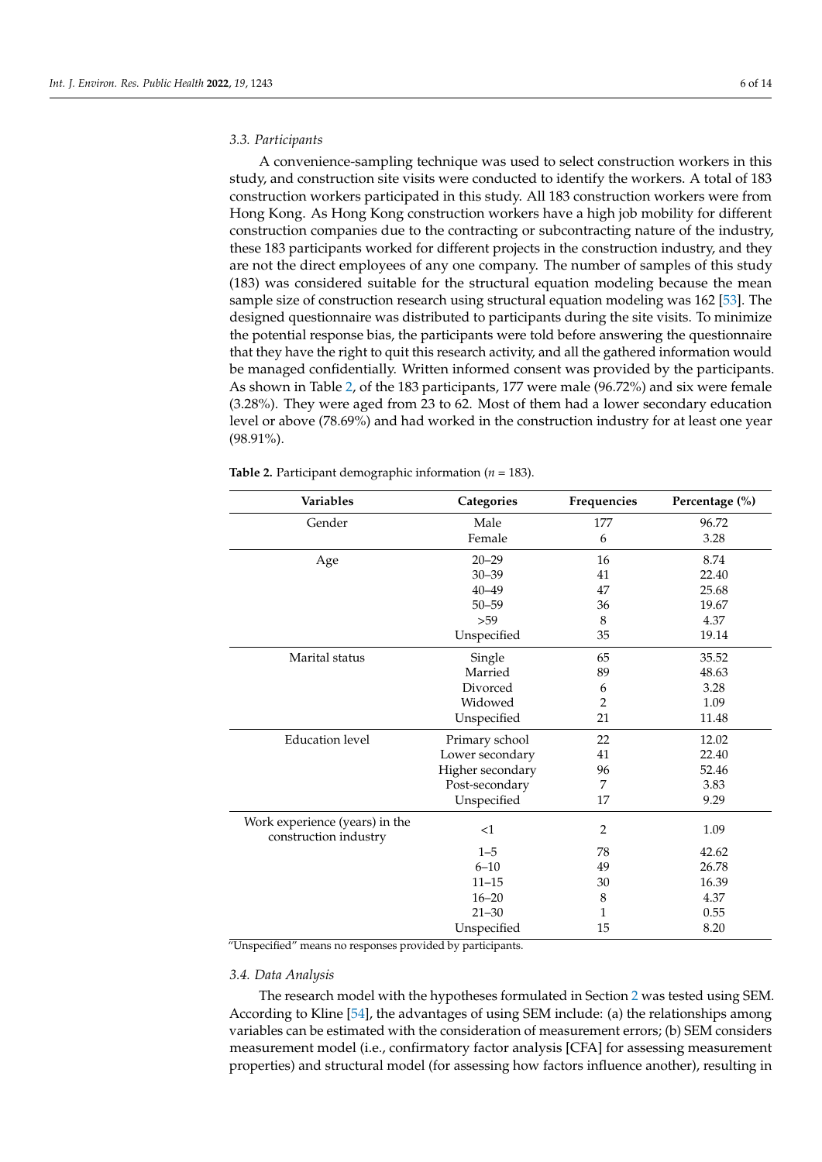### *3.3. Participants*

A convenience-sampling technique was used to select construction workers in this study, and construction site visits were conducted to identify the workers. A total of 183 construction workers participated in this study. All 183 construction workers were from Hong Kong. As Hong Kong construction workers have a high job mobility for different construction companies due to the contracting or subcontracting nature of the industry, these 183 participants worked for different projects in the construction industry, and they are not the direct employees of any one company. The number of samples of this study (183) was considered suitable for the structural equation modeling because the mean sample size of construction research using structural equation modeling was 162 [\[53\]](#page-14-6). The designed questionnaire was distributed to participants during the site visits. To minimize the potential response bias, the participants were told before answering the questionnaire that they have the right to quit this research activity, and all the gathered information would be managed confidentially. Written informed consent was provided by the participants. As shown in Table [2,](#page-6-0) of the 183 participants, 177 were male (96.72%) and six were female (3.28%). They were aged from 23 to 62. Most of them had a lower secondary education level or above (78.69%) and had worked in the construction industry for at least one year (98.91%).

| Variables                                               | Categories       | Frequencies    | Percentage (%) |
|---------------------------------------------------------|------------------|----------------|----------------|
| Gender                                                  | Male             | 177            | 96.72          |
|                                                         | Female           | 6              | 3.28           |
| Age                                                     | $20 - 29$        | 16             | 8.74           |
|                                                         | $30 - 39$        | 41             | 22.40          |
|                                                         | $40 - 49$        | 47             | 25.68          |
|                                                         | $50 - 59$        | 36             | 19.67          |
|                                                         | >59              | 8              | 4.37           |
|                                                         | Unspecified      | 35             | 19.14          |
| Marital status                                          | Single           | 65             | 35.52          |
|                                                         | Married          | 89             | 48.63          |
|                                                         | Divorced         | 6              | 3.28           |
|                                                         | Widowed          | $\overline{2}$ | 1.09           |
|                                                         | Unspecified      | 21             | 11.48          |
| <b>Education</b> level                                  | Primary school   | 22             | 12.02          |
|                                                         | Lower secondary  | 41             | 22.40          |
|                                                         | Higher secondary | 96             | 52.46          |
|                                                         | Post-secondary   | 7              | 3.83           |
|                                                         | Unspecified      | 17             | 9.29           |
| Work experience (years) in the<br>construction industry | <1               | 2              | 1.09           |
|                                                         | $1 - 5$          | 78             | 42.62          |
|                                                         | $6 - 10$         | 49             | 26.78          |
|                                                         | $11 - 15$        | 30             | 16.39          |
|                                                         | $16 - 20$        | 8              | 4.37           |
|                                                         | $21 - 30$        | 1              | 0.55           |
|                                                         | Unspecified      | 15             | 8.20           |

<span id="page-6-0"></span>**Table 2.** Participant demographic information (*n* = 183).

"Unspecified" means no responses provided by participants.

### *3.4. Data Analysis*

The research model with the hypotheses formulated in Section [2](#page-3-0) was tested using SEM. According to Kline [\[54\]](#page-14-7), the advantages of using SEM include: (a) the relationships among variables can be estimated with the consideration of measurement errors; (b) SEM considers measurement model (i.e., confirmatory factor analysis [CFA] for assessing measurement properties) and structural model (for assessing how factors influence another), resulting in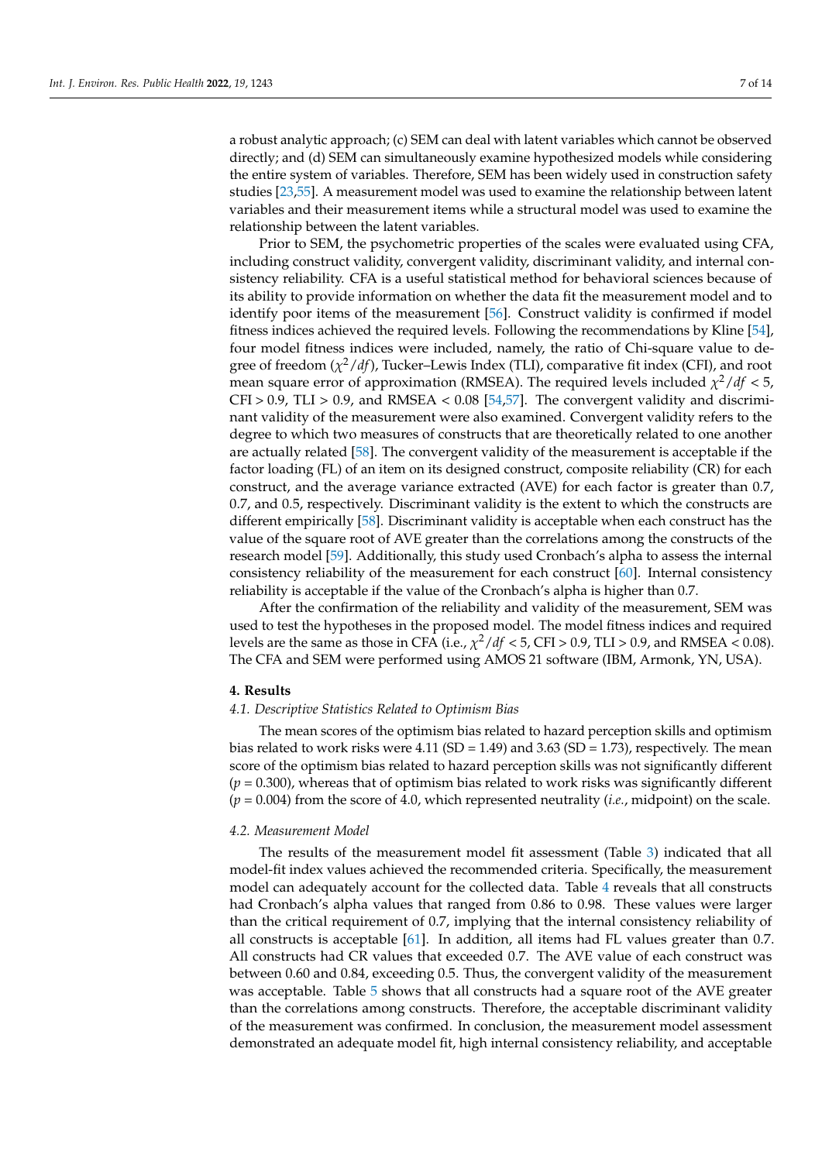a robust analytic approach; (c) SEM can deal with latent variables which cannot be observed directly; and (d) SEM can simultaneously examine hypothesized models while considering the entire system of variables. Therefore, SEM has been widely used in construction safety studies [\[23,](#page-13-7)[55\]](#page-14-8). A measurement model was used to examine the relationship between latent variables and their measurement items while a structural model was used to examine the relationship between the latent variables.

Prior to SEM, the psychometric properties of the scales were evaluated using CFA, including construct validity, convergent validity, discriminant validity, and internal consistency reliability. CFA is a useful statistical method for behavioral sciences because of its ability to provide information on whether the data fit the measurement model and to identify poor items of the measurement [\[56\]](#page-14-9). Construct validity is confirmed if model fitness indices achieved the required levels. Following the recommendations by Kline [\[54\]](#page-14-7), four model fitness indices were included, namely, the ratio of Chi-square value to degree of freedom (*χ* <sup>2</sup>/*df*), Tucker–Lewis Index (TLI), comparative fit index (CFI), and root mean square error of approximation (RMSEA). The required levels included  $\chi^2/df < 5$ ,  $CFI > 0.9$ , TLI  $> 0.9$ , and RMSEA  $< 0.08$  [\[54](#page-14-7)[,57\]](#page-14-10). The convergent validity and discriminant validity of the measurement were also examined. Convergent validity refers to the degree to which two measures of constructs that are theoretically related to one another are actually related [\[58\]](#page-14-11). The convergent validity of the measurement is acceptable if the factor loading (FL) of an item on its designed construct, composite reliability (CR) for each construct, and the average variance extracted (AVE) for each factor is greater than 0.7, 0.7, and 0.5, respectively. Discriminant validity is the extent to which the constructs are different empirically [\[58\]](#page-14-11). Discriminant validity is acceptable when each construct has the value of the square root of AVE greater than the correlations among the constructs of the research model [\[59\]](#page-14-12). Additionally, this study used Cronbach's alpha to assess the internal consistency reliability of the measurement for each construct [\[60\]](#page-14-13). Internal consistency reliability is acceptable if the value of the Cronbach's alpha is higher than 0.7.

After the confirmation of the reliability and validity of the measurement, SEM was used to test the hypotheses in the proposed model. The model fitness indices and required levels are the same as those in CFA (i.e.,  $\chi^2/df < 5$ , CFI > 0.9, TLI > 0.9, and RMSEA < 0.08). The CFA and SEM were performed using AMOS 21 software (IBM, Armonk, YN, USA).

### **4. Results**

### *4.1. Descriptive Statistics Related to Optimism Bias*

The mean scores of the optimism bias related to hazard perception skills and optimism bias related to work risks were  $4.11$  (SD =  $1.49$ ) and  $3.63$  (SD =  $1.73$ ), respectively. The mean score of the optimism bias related to hazard perception skills was not significantly different  $(p = 0.300)$ , whereas that of optimism bias related to work risks was significantly different (*p* = 0.004) from the score of 4.0, which represented neutrality (*i.e.*, midpoint) on the scale.

### *4.2. Measurement Model*

The results of the measurement model fit assessment (Table [3\)](#page-8-0) indicated that all model-fit index values achieved the recommended criteria. Specifically, the measurement model can adequately account for the collected data. Table [4](#page-8-1) reveals that all constructs had Cronbach's alpha values that ranged from 0.86 to 0.98. These values were larger than the critical requirement of 0.7, implying that the internal consistency reliability of all constructs is acceptable [\[61\]](#page-14-14). In addition, all items had FL values greater than 0.7. All constructs had CR values that exceeded 0.7. The AVE value of each construct was between 0.60 and 0.84, exceeding 0.5. Thus, the convergent validity of the measurement was acceptable. Table [5](#page-8-2) shows that all constructs had a square root of the AVE greater than the correlations among constructs. Therefore, the acceptable discriminant validity of the measurement was confirmed. In conclusion, the measurement model assessment demonstrated an adequate model fit, high internal consistency reliability, and acceptable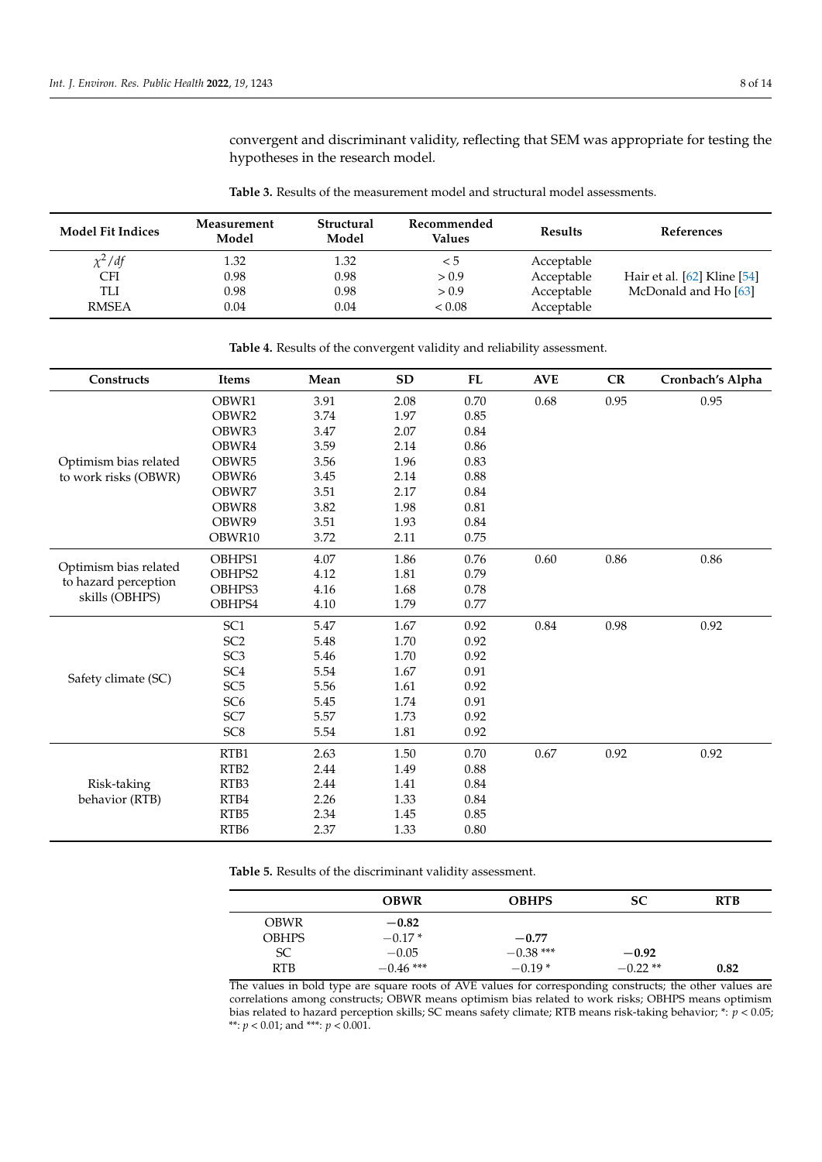convergent and discriminant validity, reflecting that SEM was appropriate for testing the hypotheses in the research model.

<span id="page-8-0"></span>**Table 3.** Results of the measurement model and structural model assessments.

| <b>Model Fit Indices</b> | Measurement<br>Model | Structural<br>Model | Recommended<br><b>Values</b> | <b>Results</b> | References                      |
|--------------------------|----------------------|---------------------|------------------------------|----------------|---------------------------------|
| $\chi^2/df$              | 1.32                 | 1.32                | $\leq 5$                     | Acceptable     |                                 |
| CFI                      | 0.98                 | 0.98                | > 0.9                        | Acceptable     | Hair et al. $[62]$ Kline $[54]$ |
| TLI                      | 0.98                 | 0.98                | > 0.9                        | Acceptable     | McDonald and Ho [63]            |
| <b>RMSEA</b>             | 0.04                 | 0.04                | < 0.08                       | Acceptable     |                                 |

<span id="page-8-1"></span>**Table 4.** Results of the convergent validity and reliability assessment.

| Constructs                             | Items            | Mean | <b>SD</b> | FL   | <b>AVE</b> | CR   | Cronbach's Alpha |
|----------------------------------------|------------------|------|-----------|------|------------|------|------------------|
|                                        | OBWR1            | 3.91 | 2.08      | 0.70 | 0.68       | 0.95 | 0.95             |
|                                        | OBWR2            | 3.74 | 1.97      | 0.85 |            |      |                  |
|                                        | OBWR3            | 3.47 | 2.07      | 0.84 |            |      |                  |
|                                        | OBWR4            | 3.59 | 2.14      | 0.86 |            |      |                  |
| Optimism bias related                  | OBWR5            | 3.56 | 1.96      | 0.83 |            |      |                  |
| to work risks (OBWR)                   | OBWR6            | 3.45 | 2.14      | 0.88 |            |      |                  |
|                                        | OBWR7            | 3.51 | 2.17      | 0.84 |            |      |                  |
|                                        | OBWR8            | 3.82 | 1.98      | 0.81 |            |      |                  |
|                                        | OBWR9            | 3.51 | 1.93      | 0.84 |            |      |                  |
|                                        | OBWR10           | 3.72 | 2.11      | 0.75 |            |      |                  |
|                                        | OBHPS1           | 4.07 | 1.86      | 0.76 | 0.60       | 0.86 | 0.86             |
| Optimism bias related                  | OBHPS2           | 4.12 | 1.81      | 0.79 |            |      |                  |
| to hazard perception<br>skills (OBHPS) | OBHPS3           | 4.16 | 1.68      | 0.78 |            |      |                  |
|                                        | OBHPS4           | 4.10 | 1.79      | 0.77 |            |      |                  |
|                                        | SC <sub>1</sub>  | 5.47 | 1.67      | 0.92 | 0.84       | 0.98 | 0.92             |
|                                        | SC <sub>2</sub>  | 5.48 | 1.70      | 0.92 |            |      |                  |
|                                        | SC <sub>3</sub>  | 5.46 | 1.70      | 0.92 |            |      |                  |
| Safety climate (SC)                    | SC <sub>4</sub>  | 5.54 | 1.67      | 0.91 |            |      |                  |
|                                        | SC <sub>5</sub>  | 5.56 | 1.61      | 0.92 |            |      |                  |
|                                        | SC <sub>6</sub>  | 5.45 | 1.74      | 0.91 |            |      |                  |
|                                        | SC7              | 5.57 | 1.73      | 0.92 |            |      |                  |
|                                        | SC <sub>8</sub>  | 5.54 | 1.81      | 0.92 |            |      |                  |
| Risk-taking                            | RTB1             | 2.63 | 1.50      | 0.70 | 0.67       | 0.92 | 0.92             |
|                                        | RTB <sub>2</sub> | 2.44 | 1.49      | 0.88 |            |      |                  |
|                                        | RTB <sub>3</sub> | 2.44 | 1.41      | 0.84 |            |      |                  |
| behavior (RTB)                         | RTB4             | 2.26 | 1.33      | 0.84 |            |      |                  |
|                                        | RTB5             | 2.34 | 1.45      | 0.85 |            |      |                  |
|                                        | RTB6             | 2.37 | 1.33      | 0.80 |            |      |                  |

<span id="page-8-2"></span>**Table 5.** Results of the discriminant validity assessment.

|               | <b>OBWR</b> | <b>OBHPS</b> | <b>SC</b> | <b>RTB</b> |
|---------------|-------------|--------------|-----------|------------|
| <b>OBWR</b>   | $-0.82$     |              |           |            |
| <b>OBHPS</b>  | $-0.17*$    | $-0.77$      |           |            |
| <sub>SC</sub> | $-0.05$     | $-0.38$ ***  | $-0.92$   |            |
| <b>RTB</b>    | $-0.46$ *** | $-0.19*$     | $-0.22**$ | 0.82       |

The values in bold type are square roots of AVE values for corresponding constructs; the other values are correlations among constructs; OBWR means optimism bias related to work risks; OBHPS means optimism bias related to hazard perception skills; SC means safety climate; RTB means risk-taking behavior; \*: *p* < 0.05; \*\*: *p* < 0.01; and \*\*\*: *p* < 0.001.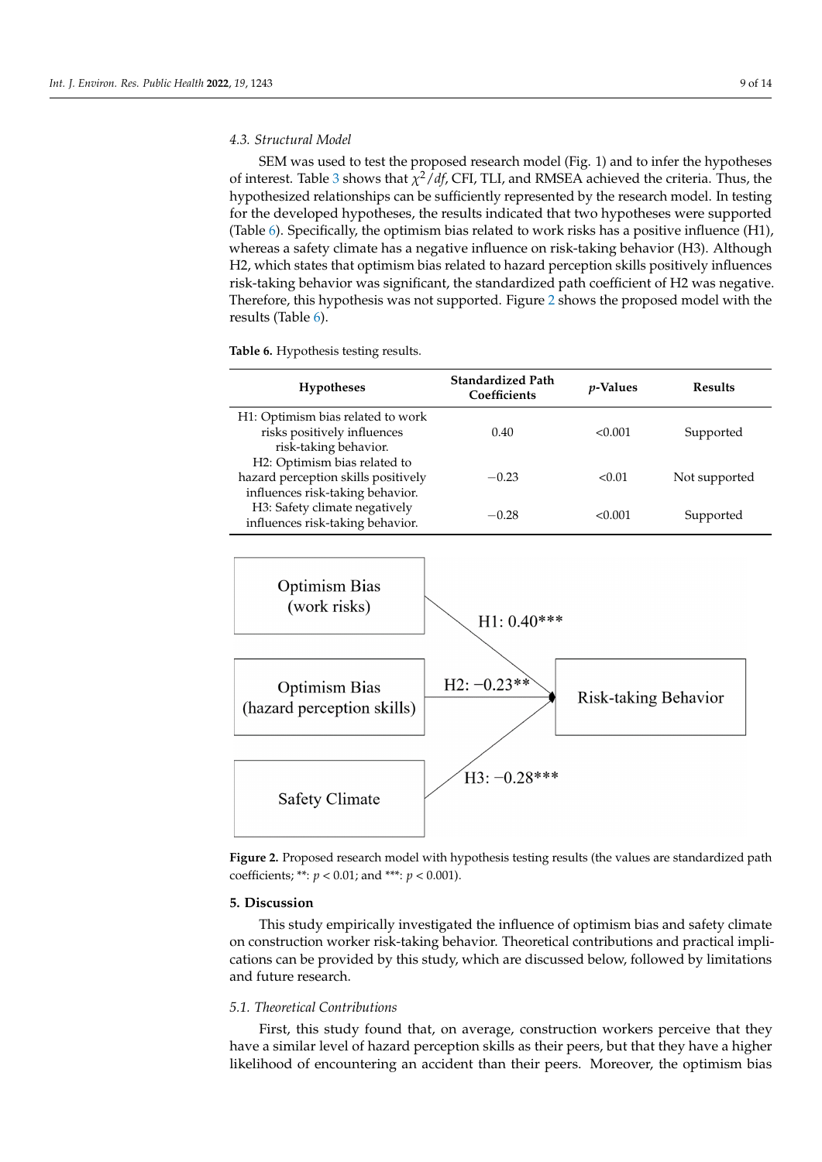### *4.3. Structural Model*

SEM was used to test the proposed research model (Fig. 1) and to infer the hypotheses of interest. Table [3](#page-8-0) shows that *χ* <sup>2</sup>/*df*, CFI, TLI, and RMSEA achieved the criteria. Thus, the hypothesized relationships can be sufficiently represented by the research model. In testing for the developed hypotheses, the results indicated that two hypotheses were supported (Table [6\)](#page-9-0). Specifically, the optimism bias related to work risks has a positive influence (H1), whereas a safety climate has a negative influence on risk-taking behavior (H3). Although H2, which states that optimism bias related to hazard perception skills positively influences risk-taking behavior was significant, the standardized path coefficient of H2 was negative. Therefore, this hypothesis was not supported. Figure [2](#page-9-1) shows the proposed model with the results (Table [6\)](#page-9-0).

<span id="page-9-0"></span>**Table 6.** Hypothesis testing results.

| <b>Hypotheses</b>                                                                                       | <b>Standardized Path</b><br>Coefficients | <i>v</i> -Values | Results       |
|---------------------------------------------------------------------------------------------------------|------------------------------------------|------------------|---------------|
| H1: Optimism bias related to work<br>risks positively influences<br>risk-taking behavior.               | 0.40                                     | <0.001           | Supported     |
| H2: Optimism bias related to<br>hazard perception skills positively<br>influences risk-taking behavior. | $-0.23$                                  | < 0.01           | Not supported |
| H3: Safety climate negatively<br>influences risk-taking behavior.                                       | $-0.28$                                  | < 0.001          | Supported     |

<span id="page-9-1"></span>

**Figure 2.** Proposed research model with hypothesis testing results (the values are standardized path **Figure 2.** Proposed research model with hypothesis testing results (the values are standardized path coefficients; \*\*:  $p < 0.01$ ; and \*\*\*:  $p < 0.001$ ).

### **5. Discussion 5. Discussion**

This study empirically investigated the influence of optimism bias and safety climate This study empirically investigated the influence of optimism bias and safety climate on construction worker risk-taking behavior. Theoretical contributions and practical implications can be provided by this study, which are discussed below, followed by limitations and future research.

### *5.1. Theoretical Contributions 5.1. Theoretical Contributions*

First, this study found that, on average, construction workers perceive that they have a similar level of hazard perception skills as their peers, but that they have a higher  $\ddot{a}$  is displaced of encountering an accident than their peers. Moreover, the optimism b likelihood of encountering an accident than their peers. Moreover, the optimism bias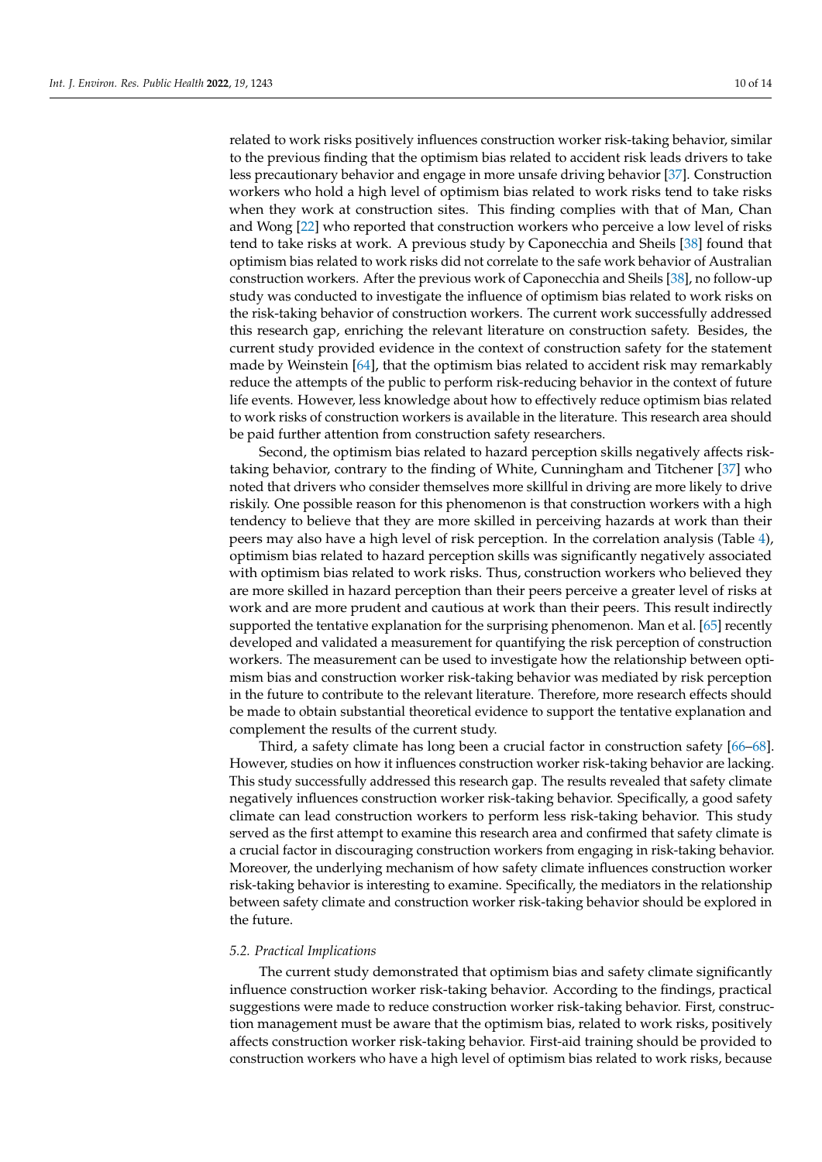related to work risks positively influences construction worker risk-taking behavior, similar to the previous finding that the optimism bias related to accident risk leads drivers to take less precautionary behavior and engage in more unsafe driving behavior [\[37\]](#page-13-21). Construction workers who hold a high level of optimism bias related to work risks tend to take risks when they work at construction sites. This finding complies with that of Man, Chan and Wong [\[22\]](#page-13-6) who reported that construction workers who perceive a low level of risks tend to take risks at work. A previous study by Caponecchia and Sheils [\[38\]](#page-13-22) found that optimism bias related to work risks did not correlate to the safe work behavior of Australian construction workers. After the previous work of Caponecchia and Sheils [\[38\]](#page-13-22), no follow-up study was conducted to investigate the influence of optimism bias related to work risks on the risk-taking behavior of construction workers. The current work successfully addressed this research gap, enriching the relevant literature on construction safety. Besides, the current study provided evidence in the context of construction safety for the statement made by Weinstein [\[64\]](#page-14-17), that the optimism bias related to accident risk may remarkably reduce the attempts of the public to perform risk-reducing behavior in the context of future life events. However, less knowledge about how to effectively reduce optimism bias related to work risks of construction workers is available in the literature. This research area should be paid further attention from construction safety researchers.

Second, the optimism bias related to hazard perception skills negatively affects risktaking behavior, contrary to the finding of White, Cunningham and Titchener [\[37\]](#page-13-21) who noted that drivers who consider themselves more skillful in driving are more likely to drive riskily. One possible reason for this phenomenon is that construction workers with a high tendency to believe that they are more skilled in perceiving hazards at work than their peers may also have a high level of risk perception. In the correlation analysis (Table [4\)](#page-8-1), optimism bias related to hazard perception skills was significantly negatively associated with optimism bias related to work risks. Thus, construction workers who believed they are more skilled in hazard perception than their peers perceive a greater level of risks at work and are more prudent and cautious at work than their peers. This result indirectly supported the tentative explanation for the surprising phenomenon. Man et al. [\[65\]](#page-14-18) recently developed and validated a measurement for quantifying the risk perception of construction workers. The measurement can be used to investigate how the relationship between optimism bias and construction worker risk-taking behavior was mediated by risk perception in the future to contribute to the relevant literature. Therefore, more research effects should be made to obtain substantial theoretical evidence to support the tentative explanation and complement the results of the current study.

Third, a safety climate has long been a crucial factor in construction safety [\[66](#page-14-19)[–68\]](#page-14-20). However, studies on how it influences construction worker risk-taking behavior are lacking. This study successfully addressed this research gap. The results revealed that safety climate negatively influences construction worker risk-taking behavior. Specifically, a good safety climate can lead construction workers to perform less risk-taking behavior. This study served as the first attempt to examine this research area and confirmed that safety climate is a crucial factor in discouraging construction workers from engaging in risk-taking behavior. Moreover, the underlying mechanism of how safety climate influences construction worker risk-taking behavior is interesting to examine. Specifically, the mediators in the relationship between safety climate and construction worker risk-taking behavior should be explored in the future.

### *5.2. Practical Implications*

The current study demonstrated that optimism bias and safety climate significantly influence construction worker risk-taking behavior. According to the findings, practical suggestions were made to reduce construction worker risk-taking behavior. First, construction management must be aware that the optimism bias, related to work risks, positively affects construction worker risk-taking behavior. First-aid training should be provided to construction workers who have a high level of optimism bias related to work risks, because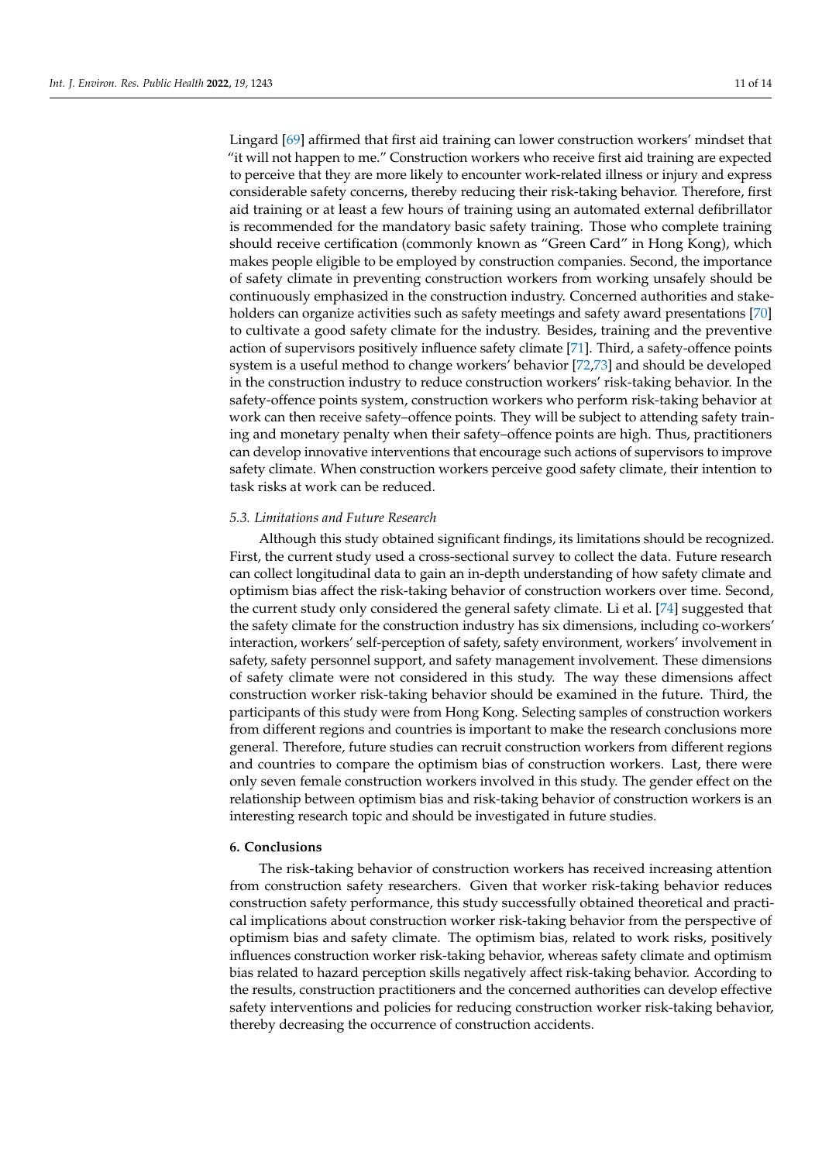Lingard [\[69\]](#page-14-21) affirmed that first aid training can lower construction workers' mindset that "it will not happen to me." Construction workers who receive first aid training are expected to perceive that they are more likely to encounter work-related illness or injury and express considerable safety concerns, thereby reducing their risk-taking behavior. Therefore, first aid training or at least a few hours of training using an automated external defibrillator is recommended for the mandatory basic safety training. Those who complete training should receive certification (commonly known as "Green Card" in Hong Kong), which makes people eligible to be employed by construction companies. Second, the importance of safety climate in preventing construction workers from working unsafely should be continuously emphasized in the construction industry. Concerned authorities and stakeholders can organize activities such as safety meetings and safety award presentations [\[70\]](#page-14-22) to cultivate a good safety climate for the industry. Besides, training and the preventive action of supervisors positively influence safety climate [\[71\]](#page-14-23). Third, a safety-offence points system is a useful method to change workers' behavior [\[72](#page-14-24)[,73\]](#page-14-25) and should be developed in the construction industry to reduce construction workers' risk-taking behavior. In the safety-offence points system, construction workers who perform risk-taking behavior at work can then receive safety–offence points. They will be subject to attending safety training and monetary penalty when their safety–offence points are high. Thus, practitioners can develop innovative interventions that encourage such actions of supervisors to improve safety climate. When construction workers perceive good safety climate, their intention to task risks at work can be reduced.

### *5.3. Limitations and Future Research*

Although this study obtained significant findings, its limitations should be recognized. First, the current study used a cross-sectional survey to collect the data. Future research can collect longitudinal data to gain an in-depth understanding of how safety climate and optimism bias affect the risk-taking behavior of construction workers over time. Second, the current study only considered the general safety climate. Li et al. [\[74\]](#page-14-26) suggested that the safety climate for the construction industry has six dimensions, including co-workers' interaction, workers' self-perception of safety, safety environment, workers' involvement in safety, safety personnel support, and safety management involvement. These dimensions of safety climate were not considered in this study. The way these dimensions affect construction worker risk-taking behavior should be examined in the future. Third, the participants of this study were from Hong Kong. Selecting samples of construction workers from different regions and countries is important to make the research conclusions more general. Therefore, future studies can recruit construction workers from different regions and countries to compare the optimism bias of construction workers. Last, there were only seven female construction workers involved in this study. The gender effect on the relationship between optimism bias and risk-taking behavior of construction workers is an interesting research topic and should be investigated in future studies.

### **6. Conclusions**

The risk-taking behavior of construction workers has received increasing attention from construction safety researchers. Given that worker risk-taking behavior reduces construction safety performance, this study successfully obtained theoretical and practical implications about construction worker risk-taking behavior from the perspective of optimism bias and safety climate. The optimism bias, related to work risks, positively influences construction worker risk-taking behavior, whereas safety climate and optimism bias related to hazard perception skills negatively affect risk-taking behavior. According to the results, construction practitioners and the concerned authorities can develop effective safety interventions and policies for reducing construction worker risk-taking behavior, thereby decreasing the occurrence of construction accidents.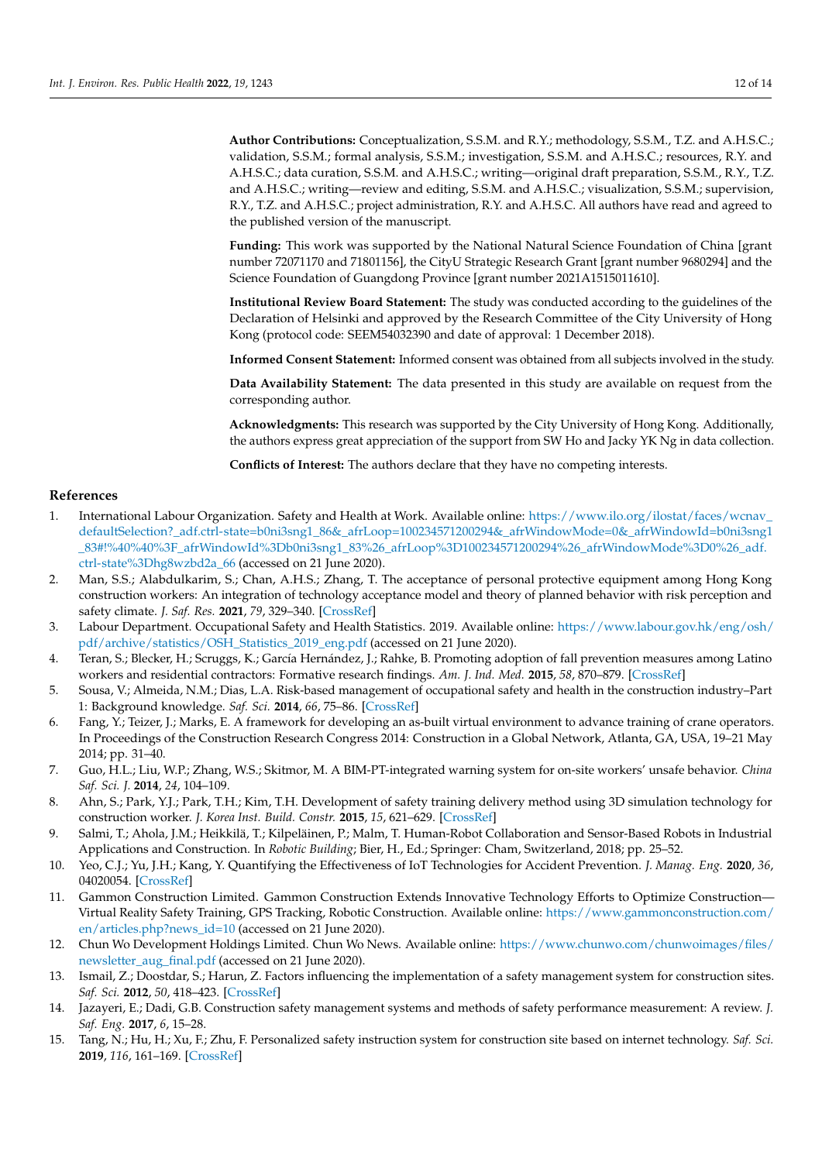**Author Contributions:** Conceptualization, S.S.M. and R.Y.; methodology, S.S.M., T.Z. and A.H.S.C.; validation, S.S.M.; formal analysis, S.S.M.; investigation, S.S.M. and A.H.S.C.; resources, R.Y. and A.H.S.C.; data curation, S.S.M. and A.H.S.C.; writing—original draft preparation, S.S.M., R.Y., T.Z. and A.H.S.C.; writing—review and editing, S.S.M. and A.H.S.C.; visualization, S.S.M.; supervision, R.Y., T.Z. and A.H.S.C.; project administration, R.Y. and A.H.S.C. All authors have read and agreed to the published version of the manuscript.

**Funding:** This work was supported by the National Natural Science Foundation of China [grant number 72071170 and 71801156], the CityU Strategic Research Grant [grant number 9680294] and the Science Foundation of Guangdong Province [grant number 2021A1515011610].

**Institutional Review Board Statement:** The study was conducted according to the guidelines of the Declaration of Helsinki and approved by the Research Committee of the City University of Hong Kong (protocol code: SEEM54032390 and date of approval: 1 December 2018).

**Informed Consent Statement:** Informed consent was obtained from all subjects involved in the study.

**Data Availability Statement:** The data presented in this study are available on request from the corresponding author.

**Acknowledgments:** This research was supported by the City University of Hong Kong. Additionally, the authors express great appreciation of the support from SW Ho and Jacky YK Ng in data collection.

**Conflicts of Interest:** The authors declare that they have no competing interests.

### **References**

- <span id="page-12-0"></span>1. International Labour Organization. Safety and Health at Work. Available online: [https://www.ilo.org/ilostat/faces/wcnav\\_](https://www.ilo.org/ilostat/faces/wcnav_defaultSelection?_adf.ctrl-state=b0ni3sng1_86&_afrLoop=100234571200294&_afrWindowMode=0&_afrWindowId=b0ni3sng1_83#!%40%40%3F_afrWindowId%3Db0ni3sng1_83%26_afrLoop%3D100234571200294%26_afrWindowMode%3D0%26_adf.ctrl-state%3Dhg8wzbd2a_66) [defaultSelection?\\_adf.ctrl-state=b0ni3sng1\\_86&\\_afrLoop=100234571200294&\\_afrWindowMode=0&\\_afrWindowId=b0ni3sng1](https://www.ilo.org/ilostat/faces/wcnav_defaultSelection?_adf.ctrl-state=b0ni3sng1_86&_afrLoop=100234571200294&_afrWindowMode=0&_afrWindowId=b0ni3sng1_83#!%40%40%3F_afrWindowId%3Db0ni3sng1_83%26_afrLoop%3D100234571200294%26_afrWindowMode%3D0%26_adf.ctrl-state%3Dhg8wzbd2a_66) [\\_83#!%40%40%3F\\_afrWindowId%3Db0ni3sng1\\_83%26\\_afrLoop%3D100234571200294%26\\_afrWindowMode%3D0%26\\_adf.](https://www.ilo.org/ilostat/faces/wcnav_defaultSelection?_adf.ctrl-state=b0ni3sng1_86&_afrLoop=100234571200294&_afrWindowMode=0&_afrWindowId=b0ni3sng1_83#!%40%40%3F_afrWindowId%3Db0ni3sng1_83%26_afrLoop%3D100234571200294%26_afrWindowMode%3D0%26_adf.ctrl-state%3Dhg8wzbd2a_66) [ctrl-state%3Dhg8wzbd2a\\_66](https://www.ilo.org/ilostat/faces/wcnav_defaultSelection?_adf.ctrl-state=b0ni3sng1_86&_afrLoop=100234571200294&_afrWindowMode=0&_afrWindowId=b0ni3sng1_83#!%40%40%3F_afrWindowId%3Db0ni3sng1_83%26_afrLoop%3D100234571200294%26_afrWindowMode%3D0%26_adf.ctrl-state%3Dhg8wzbd2a_66) (accessed on 21 June 2020).
- <span id="page-12-1"></span>2. Man, S.S.; Alabdulkarim, S.; Chan, A.H.S.; Zhang, T. The acceptance of personal protective equipment among Hong Kong construction workers: An integration of technology acceptance model and theory of planned behavior with risk perception and safety climate. *J. Saf. Res.* **2021**, *79*, 329–340. [\[CrossRef\]](http://doi.org/10.1016/j.jsr.2021.09.014)
- <span id="page-12-2"></span>3. Labour Department. Occupational Safety and Health Statistics. 2019. Available online: [https://www.labour.gov.hk/eng/osh/](https://www.labour.gov.hk/eng/osh/pdf/archive/statistics/OSH_Statistics_2019_eng.pdf) [pdf/archive/statistics/OSH\\_Statistics\\_2019\\_eng.pdf](https://www.labour.gov.hk/eng/osh/pdf/archive/statistics/OSH_Statistics_2019_eng.pdf) (accessed on 21 June 2020).
- <span id="page-12-3"></span>4. Teran, S.; Blecker, H.; Scruggs, K.; García Hernández, J.; Rahke, B. Promoting adoption of fall prevention measures among Latino workers and residential contractors: Formative research findings. *Am. J. Ind. Med.* **2015**, *58*, 870–879. [\[CrossRef\]](http://doi.org/10.1002/ajim.22480)
- <span id="page-12-4"></span>5. Sousa, V.; Almeida, N.M.; Dias, L.A. Risk-based management of occupational safety and health in the construction industry–Part 1: Background knowledge. *Saf. Sci.* **2014**, *66*, 75–86. [\[CrossRef\]](http://doi.org/10.1016/j.ssci.2014.02.008)
- <span id="page-12-5"></span>6. Fang, Y.; Teizer, J.; Marks, E. A framework for developing an as-built virtual environment to advance training of crane operators. In Proceedings of the Construction Research Congress 2014: Construction in a Global Network, Atlanta, GA, USA, 19–21 May 2014; pp. 31–40.
- <span id="page-12-6"></span>7. Guo, H.L.; Liu, W.P.; Zhang, W.S.; Skitmor, M. A BIM-PT-integrated warning system for on-site workers' unsafe behavior. *China Saf. Sci. J.* **2014**, *24*, 104–109.
- <span id="page-12-7"></span>8. Ahn, S.; Park, Y.J.; Park, T.H.; Kim, T.H. Development of safety training delivery method using 3D simulation technology for construction worker. *J. Korea Inst. Build. Constr.* **2015**, *15*, 621–629. [\[CrossRef\]](http://doi.org/10.5345/JKIBC.2015.15.6.621)
- <span id="page-12-8"></span>9. Salmi, T.; Ahola, J.M.; Heikkilä, T.; Kilpeläinen, P.; Malm, T. Human-Robot Collaboration and Sensor-Based Robots in Industrial Applications and Construction. In *Robotic Building*; Bier, H., Ed.; Springer: Cham, Switzerland, 2018; pp. 25–52.
- <span id="page-12-9"></span>10. Yeo, C.J.; Yu, J.H.; Kang, Y. Quantifying the Effectiveness of IoT Technologies for Accident Prevention. *J. Manag. Eng.* **2020**, *36*, 04020054. [\[CrossRef\]](http://doi.org/10.1061/(ASCE)ME.1943-5479.0000825)
- <span id="page-12-10"></span>11. Gammon Construction Limited. Gammon Construction Extends Innovative Technology Efforts to Optimize Construction— Virtual Reality Safety Training, GPS Tracking, Robotic Construction. Available online: [https://www.gammonconstruction.com/](https://www.gammonconstruction.com/en/articles.php?news_id=10) [en/articles.php?news\\_id=10](https://www.gammonconstruction.com/en/articles.php?news_id=10) (accessed on 21 June 2020).
- <span id="page-12-11"></span>12. Chun Wo Development Holdings Limited. Chun Wo News. Available online: [https://www.chunwo.com/chunwoimages/files/](https://www.chunwo.com/chunwoimages/files/newsletter_aug_final.pdf) [newsletter\\_aug\\_final.pdf](https://www.chunwo.com/chunwoimages/files/newsletter_aug_final.pdf) (accessed on 21 June 2020).
- <span id="page-12-12"></span>13. Ismail, Z.; Doostdar, S.; Harun, Z. Factors influencing the implementation of a safety management system for construction sites. *Saf. Sci.* **2012**, *50*, 418–423. [\[CrossRef\]](http://doi.org/10.1016/j.ssci.2011.10.001)
- <span id="page-12-13"></span>14. Jazayeri, E.; Dadi, G.B. Construction safety management systems and methods of safety performance measurement: A review. *J. Saf. Eng.* **2017**, *6*, 15–28.
- <span id="page-12-14"></span>15. Tang, N.; Hu, H.; Xu, F.; Zhu, F. Personalized safety instruction system for construction site based on internet technology. *Saf. Sci.* **2019**, *116*, 161–169. [\[CrossRef\]](http://doi.org/10.1016/j.ssci.2019.03.001)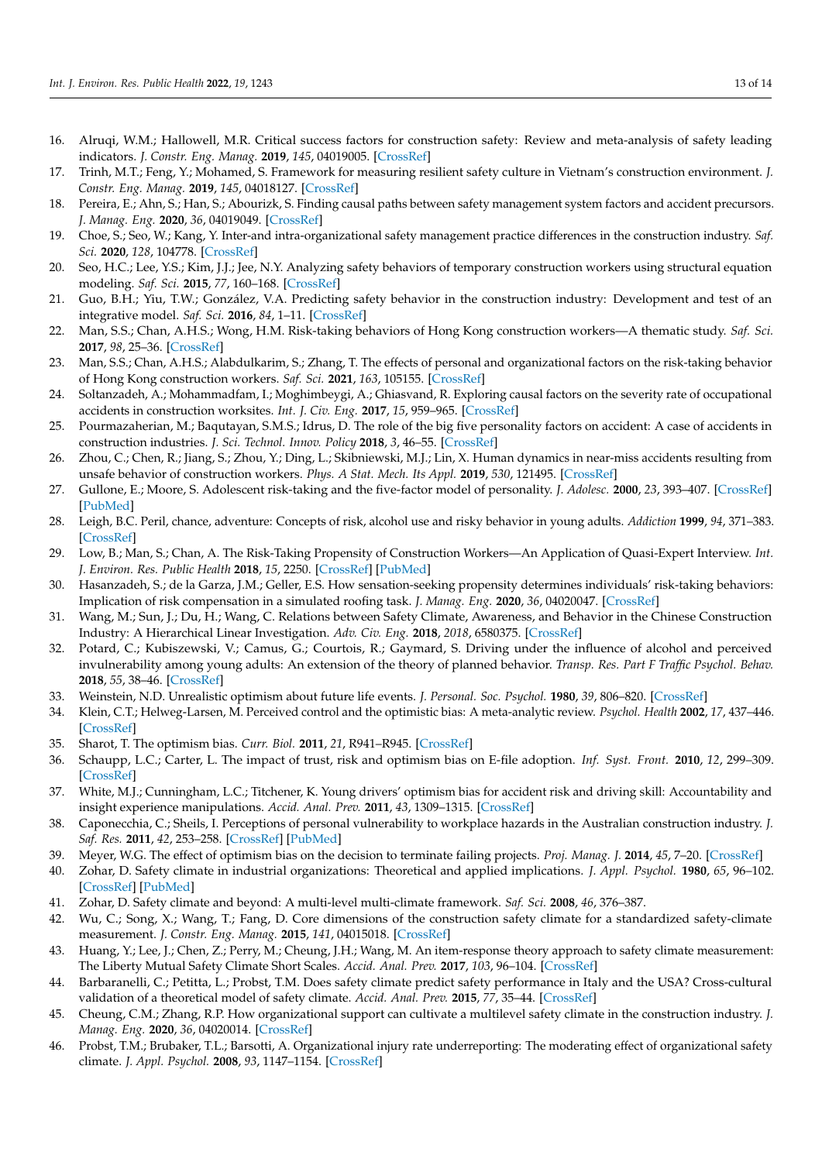- <span id="page-13-0"></span>16. Alruqi, W.M.; Hallowell, M.R. Critical success factors for construction safety: Review and meta-analysis of safety leading indicators. *J. Constr. Eng. Manag.* **2019**, *145*, 04019005. [\[CrossRef\]](http://doi.org/10.1061/(ASCE)CO.1943-7862.0001626)
- <span id="page-13-1"></span>17. Trinh, M.T.; Feng, Y.; Mohamed, S. Framework for measuring resilient safety culture in Vietnam's construction environment. *J. Constr. Eng. Manag.* **2019**, *145*, 04018127. [\[CrossRef\]](http://doi.org/10.1061/(ASCE)CO.1943-7862.0001602)
- <span id="page-13-2"></span>18. Pereira, E.; Ahn, S.; Han, S.; Abourizk, S. Finding causal paths between safety management system factors and accident precursors. *J. Manag. Eng.* **2020**, *36*, 04019049. [\[CrossRef\]](http://doi.org/10.1061/(ASCE)ME.1943-5479.0000738)
- <span id="page-13-3"></span>19. Choe, S.; Seo, W.; Kang, Y. Inter-and intra-organizational safety management practice differences in the construction industry. *Saf. Sci.* **2020**, *128*, 104778. [\[CrossRef\]](http://doi.org/10.1016/j.ssci.2020.104778)
- <span id="page-13-4"></span>20. Seo, H.C.; Lee, Y.S.; Kim, J.J.; Jee, N.Y. Analyzing safety behaviors of temporary construction workers using structural equation modeling. *Saf. Sci.* **2015**, *77*, 160–168. [\[CrossRef\]](http://doi.org/10.1016/j.ssci.2015.03.010)
- <span id="page-13-5"></span>21. Guo, B.H.; Yiu, T.W.; González, V.A. Predicting safety behavior in the construction industry: Development and test of an integrative model. *Saf. Sci.* **2016**, *84*, 1–11. [\[CrossRef\]](http://doi.org/10.1016/j.ssci.2015.11.020)
- <span id="page-13-6"></span>22. Man, S.S.; Chan, A.H.S.; Wong, H.M. Risk-taking behaviors of Hong Kong construction workers—A thematic study. *Saf. Sci.* **2017**, *98*, 25–36. [\[CrossRef\]](http://doi.org/10.1016/j.ssci.2017.05.004)
- <span id="page-13-7"></span>23. Man, S.S.; Chan, A.H.S.; Alabdulkarim, S.; Zhang, T. The effects of personal and organizational factors on the risk-taking behavior of Hong Kong construction workers. *Saf. Sci.* **2021**, *163*, 105155. [\[CrossRef\]](http://doi.org/10.1016/j.ssci.2020.105155)
- <span id="page-13-8"></span>24. Soltanzadeh, A.; Mohammadfam, I.; Moghimbeygi, A.; Ghiasvand, R. Exploring causal factors on the severity rate of occupational accidents in construction worksites. *Int. J. Civ. Eng.* **2017**, *15*, 959–965. [\[CrossRef\]](http://doi.org/10.1007/s40999-017-0184-9)
- <span id="page-13-9"></span>25. Pourmazaherian, M.; Baqutayan, S.M.S.; Idrus, D. The role of the big five personality factors on accident: A case of accidents in construction industries. *J. Sci. Technol. Innov. Policy* **2018**, *3*, 46–55. [\[CrossRef\]](http://doi.org/10.11113/jostip.v7n1.65)
- <span id="page-13-10"></span>26. Zhou, C.; Chen, R.; Jiang, S.; Zhou, Y.; Ding, L.; Skibniewski, M.J.; Lin, X. Human dynamics in near-miss accidents resulting from unsafe behavior of construction workers. *Phys. A Stat. Mech. Its Appl.* **2019**, *530*, 121495. [\[CrossRef\]](http://doi.org/10.1016/j.physa.2019.121495)
- <span id="page-13-11"></span>27. Gullone, E.; Moore, S. Adolescent risk-taking and the five-factor model of personality. *J. Adolesc.* **2000**, *23*, 393–407. [\[CrossRef\]](http://doi.org/10.1006/jado.2000.0327) [\[PubMed\]](http://www.ncbi.nlm.nih.gov/pubmed/10936013)
- <span id="page-13-12"></span>28. Leigh, B.C. Peril, chance, adventure: Concepts of risk, alcohol use and risky behavior in young adults. *Addiction* **1999**, *94*, 371–383. [\[CrossRef\]](http://doi.org/10.1046/j.1360-0443.1999.9433717.x)
- <span id="page-13-13"></span>29. Low, B.; Man, S.; Chan, A. The Risk-Taking Propensity of Construction Workers—An Application of Quasi-Expert Interview. *Int. J. Environ. Res. Public Health* **2018**, *15*, 2250. [\[CrossRef\]](http://doi.org/10.3390/ijerph15102250) [\[PubMed\]](http://www.ncbi.nlm.nih.gov/pubmed/30326573)
- <span id="page-13-14"></span>30. Hasanzadeh, S.; de la Garza, J.M.; Geller, E.S. How sensation-seeking propensity determines individuals' risk-taking behaviors: Implication of risk compensation in a simulated roofing task. *J. Manag. Eng.* **2020**, *36*, 04020047. [\[CrossRef\]](http://doi.org/10.1061/(ASCE)ME.1943-5479.0000813)
- <span id="page-13-15"></span>31. Wang, M.; Sun, J.; Du, H.; Wang, C. Relations between Safety Climate, Awareness, and Behavior in the Chinese Construction Industry: A Hierarchical Linear Investigation. *Adv. Civ. Eng.* **2018**, *2018*, 6580375. [\[CrossRef\]](http://doi.org/10.1155/2018/6580375)
- <span id="page-13-16"></span>32. Potard, C.; Kubiszewski, V.; Camus, G.; Courtois, R.; Gaymard, S. Driving under the influence of alcohol and perceived invulnerability among young adults: An extension of the theory of planned behavior. *Transp. Res. Part F Traffic Psychol. Behav.* **2018**, *55*, 38–46. [\[CrossRef\]](http://doi.org/10.1016/j.trf.2018.02.033)
- <span id="page-13-17"></span>33. Weinstein, N.D. Unrealistic optimism about future life events. *J. Personal. Soc. Psychol.* **1980**, *39*, 806–820. [\[CrossRef\]](http://doi.org/10.1037/0022-3514.39.5.806)
- <span id="page-13-18"></span>34. Klein, C.T.; Helweg-Larsen, M. Perceived control and the optimistic bias: A meta-analytic review. *Psychol. Health* **2002**, *17*, 437–446. [\[CrossRef\]](http://doi.org/10.1080/0887044022000004920)
- <span id="page-13-19"></span>35. Sharot, T. The optimism bias. *Curr. Biol.* **2011**, *21*, R941–R945. [\[CrossRef\]](http://doi.org/10.1016/j.cub.2011.10.030)
- <span id="page-13-20"></span>36. Schaupp, L.C.; Carter, L. The impact of trust, risk and optimism bias on E-file adoption. *Inf. Syst. Front.* **2010**, *12*, 299–309. [\[CrossRef\]](http://doi.org/10.1007/s10796-008-9138-8)
- <span id="page-13-21"></span>37. White, M.J.; Cunningham, L.C.; Titchener, K. Young drivers' optimism bias for accident risk and driving skill: Accountability and insight experience manipulations. *Accid. Anal. Prev.* **2011**, *43*, 1309–1315. [\[CrossRef\]](http://doi.org/10.1016/j.aap.2011.01.013)
- <span id="page-13-22"></span>38. Caponecchia, C.; Sheils, I. Perceptions of personal vulnerability to workplace hazards in the Australian construction industry. *J. Saf. Res.* **2011**, *42*, 253–258. [\[CrossRef\]](http://doi.org/10.1016/j.jsr.2011.06.006) [\[PubMed\]](http://www.ncbi.nlm.nih.gov/pubmed/22017827)
- <span id="page-13-23"></span>39. Meyer, W.G. The effect of optimism bias on the decision to terminate failing projects. *Proj. Manag. J.* **2014**, *45*, 7–20. [\[CrossRef\]](http://doi.org/10.1002/pmj.21435)
- <span id="page-13-24"></span>40. Zohar, D. Safety climate in industrial organizations: Theoretical and applied implications. *J. Appl. Psychol.* **1980**, *65*, 96–102. [\[CrossRef\]](http://doi.org/10.1037/0021-9010.65.1.96) [\[PubMed\]](http://www.ncbi.nlm.nih.gov/pubmed/7364709)
- <span id="page-13-25"></span>41. Zohar, D. Safety climate and beyond: A multi-level multi-climate framework. *Saf. Sci.* **2008**, *46*, 376–387.
- <span id="page-13-26"></span>42. Wu, C.; Song, X.; Wang, T.; Fang, D. Core dimensions of the construction safety climate for a standardized safety-climate measurement. *J. Constr. Eng. Manag.* **2015**, *141*, 04015018. [\[CrossRef\]](http://doi.org/10.1061/(ASCE)CO.1943-7862.0000996)
- <span id="page-13-27"></span>43. Huang, Y.; Lee, J.; Chen, Z.; Perry, M.; Cheung, J.H.; Wang, M. An item-response theory approach to safety climate measurement: The Liberty Mutual Safety Climate Short Scales. *Accid. Anal. Prev.* **2017**, *103*, 96–104. [\[CrossRef\]](http://doi.org/10.1016/j.aap.2017.03.015)
- <span id="page-13-28"></span>44. Barbaranelli, C.; Petitta, L.; Probst, T.M. Does safety climate predict safety performance in Italy and the USA? Cross-cultural validation of a theoretical model of safety climate. *Accid. Anal. Prev.* **2015**, *77*, 35–44. [\[CrossRef\]](http://doi.org/10.1016/j.aap.2015.01.012)
- <span id="page-13-29"></span>45. Cheung, C.M.; Zhang, R.P. How organizational support can cultivate a multilevel safety climate in the construction industry. *J. Manag. Eng.* **2020**, *36*, 04020014. [\[CrossRef\]](http://doi.org/10.1061/(ASCE)ME.1943-5479.0000758)
- <span id="page-13-30"></span>46. Probst, T.M.; Brubaker, T.L.; Barsotti, A. Organizational injury rate underreporting: The moderating effect of organizational safety climate. *J. Appl. Psychol.* **2008**, *93*, 1147–1154. [\[CrossRef\]](http://doi.org/10.1037/0021-9010.93.5.1147)